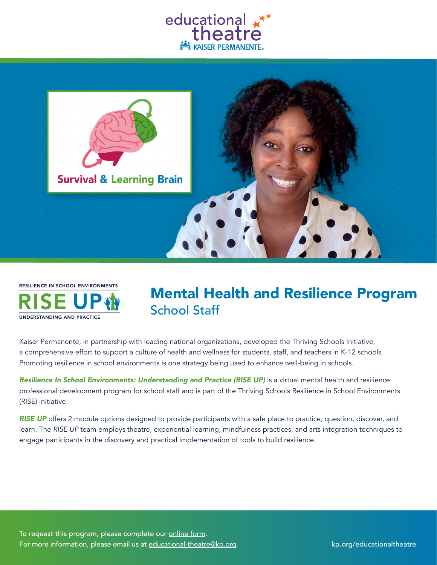





# Mental Health and Resilience Program School Staff

Kaiser Permanente, in partnership with leading national organizations, developed the Thriving Schools Initiative, a comprehensive effort to support a culture of health and wellness for students, staff, and teachers in K-12 schools. Promoting resilience in school environments is one strategy being used to enhance well-being in schools.

*Resilience In School Environments: Understanding and Practice (RISE UP)* is a virtual mental health and resilience professional development program for school staff and is part of the Thriving Schools Resilience in School Environments (RISE) initiative.

*RISE UP* offers 2 module options designed to provide participants with a safe place to practice, question, discover, and learn. The *RISE UP* team employs theatre, experiential learning, mindfulness practices, and arts integration techniques to engage participants in the discovery and practical implementation of tools to build resilience.

To request this program, please complete our [online form](https://thrivingschools.kaiserpermanente.org/educational-theatre/educational-theatre-request-more-information/). For more information, please email us at <u>[educational-theatre@kp.org](mailto:educational-theatre%40kp.org?subject=Request%20for%20Information)</u>. **http://www.mationaltheatreatreatreate.com**